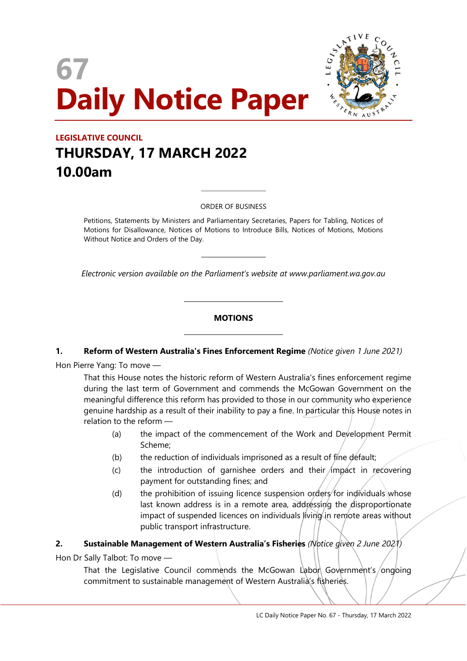# 67 Daily Notice Paper



### LEGISLATIVE COUNCIL THURSDAY, 17 MARCH 2022 10.00am

#### ORDER OF BUSINESS

 $\overline{a}$ 

 $\overline{a}$ 

 $\overline{a}$ 

 $\overline{a}$ 

Petitions, Statements by Ministers and Parliamentary Secretaries, Papers for Tabling, Notices of Motions for Disallowance, Notices of Motions to Introduce Bills, Notices of Motions, Motions Without Notice and Orders of the Day.

Electronic version available on the Parliament's website at www.parliament.wa.gov.au

#### **MOTIONS**

#### 1. Reform of Western Australia's Fines Enforcement Regime (Notice given 1 June 2021)

Hon Pierre Yang: To move —

That this House notes the historic reform of Western Australia's fines enforcement regime during the last term of Government and commends the McGowan Government on the meaningful difference this reform has provided to those in our community who experience genuine hardship as a result of their inability to pay a fine. In particular this House notes in relation to the reform —

- (a) the impact of the commencement of the Work and Development Permit Scheme;
- (b) the reduction of individuals imprisoned as a result of fine default;
- $(c)$  the introduction of garnishee orders and their impact in recovering payment for outstanding fines; and
- (d) the prohibition of issuing licence suspension orders for individuals whose last known address is in a remote area, addressing the disproportionate impact of suspended licences on individuals living in remote areas without public transport infrastructure.

#### 2. Sustainable Management of Western Australia's Fisheries (Notice given 2 June 2021)

Hon Dr Sally Talbot: To move —

That the Legislative Council commends the McGowan Labon Government's/ongoing commitment to sustainable management of Western Australia's fisheries.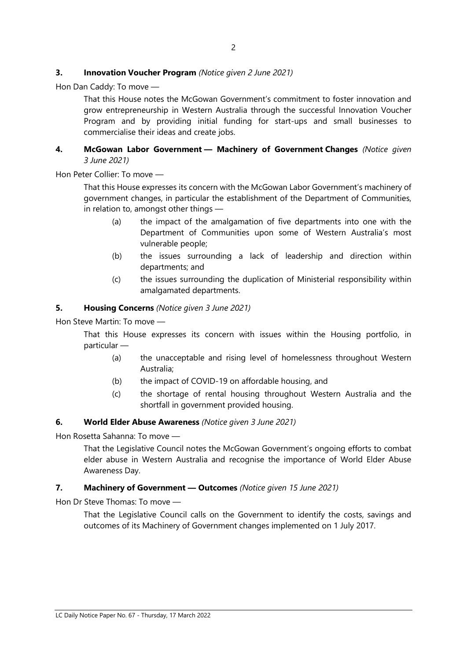#### **3.** Innovation Voucher Program (Notice given 2 June 2021)

Hon Dan Caddy: To move —

That this House notes the McGowan Government's commitment to foster innovation and grow entrepreneurship in Western Australia through the successful Innovation Voucher Program and by providing initial funding for start-ups and small businesses to commercialise their ideas and create jobs.

#### 4. McGowan Labor Government - Machinery of Government Changes (Notice given 3 June 2021)

Hon Peter Collier: To move —

That this House expresses its concern with the McGowan Labor Government's machinery of government changes, in particular the establishment of the Department of Communities, in relation to, amongst other things —

- (a) the impact of the amalgamation of five departments into one with the Department of Communities upon some of Western Australia's most vulnerable people;
- (b) the issues surrounding a lack of leadership and direction within departments; and
- (c) the issues surrounding the duplication of Ministerial responsibility within amalgamated departments.

#### 5. Housing Concerns (Notice given 3 June 2021)

Hon Steve Martin: To move —

That this House expresses its concern with issues within the Housing portfolio, in particular —

- (a) the unacceptable and rising level of homelessness throughout Western Australia;
- (b) the impact of COVID-19 on affordable housing, and
- (c) the shortage of rental housing throughout Western Australia and the shortfall in government provided housing.

#### 6. World Elder Abuse Awareness (Notice given 3 June 2021)

Hon Rosetta Sahanna: To move —

That the Legislative Council notes the McGowan Government's ongoing efforts to combat elder abuse in Western Australia and recognise the importance of World Elder Abuse Awareness Day.

#### 7. Machinery of Government - Outcomes (Notice given 15 June 2021)

Hon Dr Steve Thomas: To move —

That the Legislative Council calls on the Government to identify the costs, savings and outcomes of its Machinery of Government changes implemented on 1 July 2017.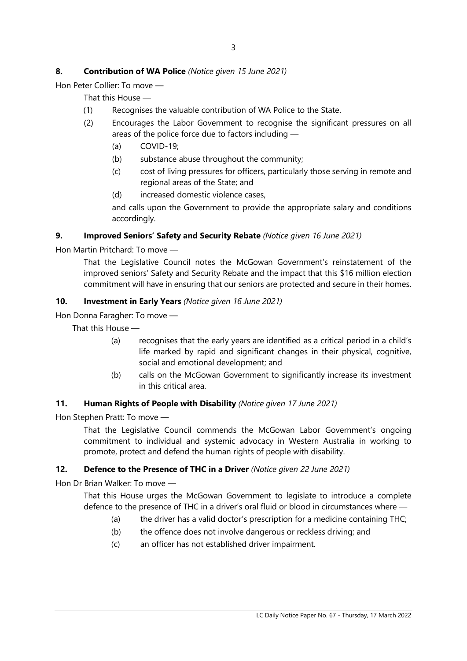#### 8. Contribution of WA Police (Notice given 15 June 2021)

Hon Peter Collier: To move —

That this House —

- (1) Recognises the valuable contribution of WA Police to the State.
- (2) Encourages the Labor Government to recognise the significant pressures on all areas of the police force due to factors including —
	- (a) COVID-19;
	- (b) substance abuse throughout the community;
	- (c) cost of living pressures for officers, particularly those serving in remote and regional areas of the State; and
	- (d) increased domestic violence cases,

and calls upon the Government to provide the appropriate salary and conditions accordingly.

#### 9. Improved Seniors' Safety and Security Rebate (Notice given 16 June 2021)

Hon Martin Pritchard: To move —

That the Legislative Council notes the McGowan Government's reinstatement of the improved seniors' Safety and Security Rebate and the impact that this \$16 million election commitment will have in ensuring that our seniors are protected and secure in their homes.

#### 10. Investment in Early Years (Notice given 16 June 2021)

Hon Donna Faragher: To move —

That this House —

- (a) recognises that the early years are identified as a critical period in a child's life marked by rapid and significant changes in their physical, cognitive, social and emotional development; and
- (b) calls on the McGowan Government to significantly increase its investment in this critical area.

#### 11. Human Rights of People with Disability (Notice given 17 June 2021)

Hon Stephen Pratt: To move —

That the Legislative Council commends the McGowan Labor Government's ongoing commitment to individual and systemic advocacy in Western Australia in working to promote, protect and defend the human rights of people with disability.

#### 12. Defence to the Presence of THC in a Driver (Notice given 22 June 2021)

Hon Dr Brian Walker: To move —

That this House urges the McGowan Government to legislate to introduce a complete defence to the presence of THC in a driver's oral fluid or blood in circumstances where —

- (a) the driver has a valid doctor's prescription for a medicine containing THC;
- (b) the offence does not involve dangerous or reckless driving; and
- (c) an officer has not established driver impairment.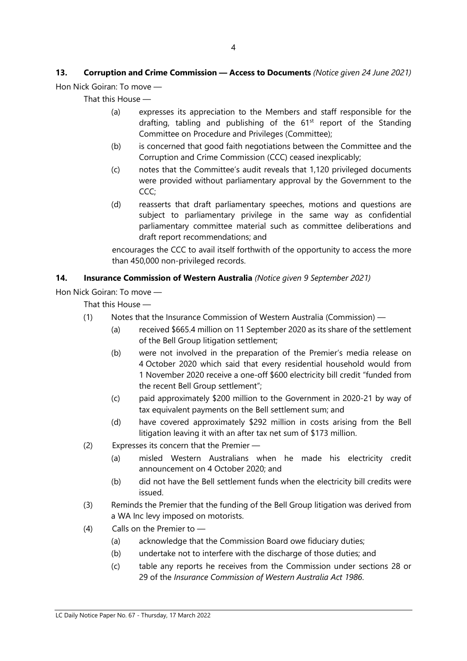## 13. Corruption and Crime Commission - Access to Documents (Notice given 24 June 2021)

Hon Nick Goiran: To move —

That this House —

- (a) expresses its appreciation to the Members and staff responsible for the drafting, tabling and publishing of the  $61<sup>st</sup>$  report of the Standing Committee on Procedure and Privileges (Committee);
- (b) is concerned that good faith negotiations between the Committee and the Corruption and Crime Commission (CCC) ceased inexplicably;
- (c) notes that the Committee's audit reveals that 1,120 privileged documents were provided without parliamentary approval by the Government to the CCC;
- (d) reasserts that draft parliamentary speeches, motions and questions are subject to parliamentary privilege in the same way as confidential parliamentary committee material such as committee deliberations and draft report recommendations; and

encourages the CCC to avail itself forthwith of the opportunity to access the more than 450,000 non-privileged records.

#### 14. Insurance Commission of Western Australia (Notice given 9 September 2021)

Hon Nick Goiran: To move —

That this House —

- (1) Notes that the Insurance Commission of Western Australia (Commission)
	- (a) received \$665.4 million on 11 September 2020 as its share of the settlement of the Bell Group litigation settlement;
	- (b) were not involved in the preparation of the Premier's media release on 4 October 2020 which said that every residential household would from 1 November 2020 receive a one-off \$600 electricity bill credit "funded from the recent Bell Group settlement";
	- (c) paid approximately \$200 million to the Government in 2020-21 by way of tax equivalent payments on the Bell settlement sum; and
	- (d) have covered approximately \$292 million in costs arising from the Bell litigation leaving it with an after tax net sum of \$173 million.
- (2) Expresses its concern that the Premier
	- (a) misled Western Australians when he made his electricity credit announcement on 4 October 2020; and
	- (b) did not have the Bell settlement funds when the electricity bill credits were issued.
- (3) Reminds the Premier that the funding of the Bell Group litigation was derived from a WA Inc levy imposed on motorists.
- (4) Calls on the Premier to
	- (a) acknowledge that the Commission Board owe fiduciary duties;
	- (b) undertake not to interfere with the discharge of those duties; and
	- (c) table any reports he receives from the Commission under sections 28 or 29 of the Insurance Commission of Western Australia Act 1986.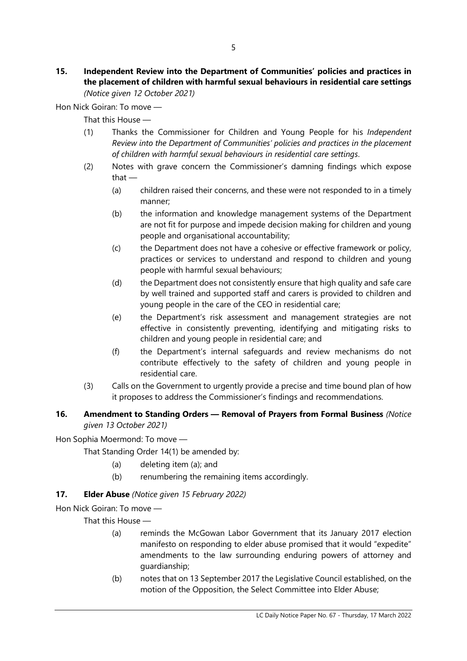#### 15. Independent Review into the Department of Communities' policies and practices in the placement of children with harmful sexual behaviours in residential care settings (Notice given 12 October 2021)

Hon Nick Goiran: To move —

That this House —

- (1) Thanks the Commissioner for Children and Young People for his Independent Review into the Department of Communities' policies and practices in the placement of children with harmful sexual behaviours in residential care settings.
- (2) Notes with grave concern the Commissioner's damning findings which expose that —
	- (a) children raised their concerns, and these were not responded to in a timely manner;
	- (b) the information and knowledge management systems of the Department are not fit for purpose and impede decision making for children and young people and organisational accountability;
	- (c) the Department does not have a cohesive or effective framework or policy, practices or services to understand and respond to children and young people with harmful sexual behaviours;
	- (d) the Department does not consistently ensure that high quality and safe care by well trained and supported staff and carers is provided to children and young people in the care of the CEO in residential care;
	- (e) the Department's risk assessment and management strategies are not effective in consistently preventing, identifying and mitigating risks to children and young people in residential care; and
	- (f) the Department's internal safeguards and review mechanisms do not contribute effectively to the safety of children and young people in residential care.
- (3) Calls on the Government to urgently provide a precise and time bound plan of how it proposes to address the Commissioner's findings and recommendations.

#### 16. Amendment to Standing Orders - Removal of Prayers from Formal Business (Notice given 13 October 2021)

Hon Sophia Moermond: To move —

That Standing Order 14(1) be amended by:

- (a) deleting item (a); and
- (b) renumbering the remaining items accordingly.

#### 17. **Elder Abuse** (Notice given 15 February 2022)

Hon Nick Goiran: To move —

That this House —

- (a) reminds the McGowan Labor Government that its January 2017 election manifesto on responding to elder abuse promised that it would "expedite" amendments to the law surrounding enduring powers of attorney and guardianship;
- (b) notes that on 13 September 2017 the Legislative Council established, on the motion of the Opposition, the Select Committee into Elder Abuse;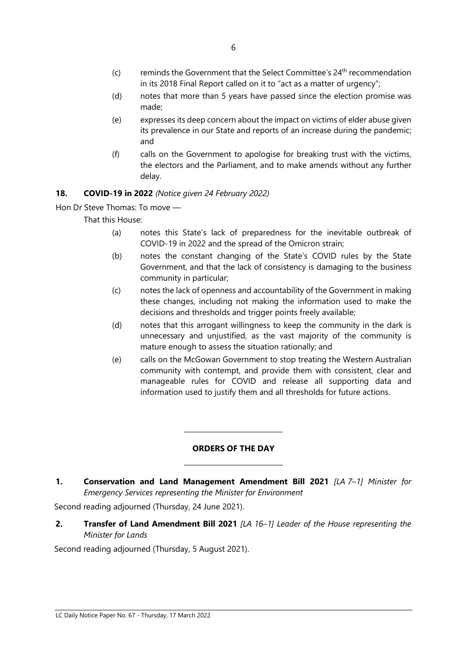- $(c)$  reminds the Government that the Select Committee's  $24<sup>th</sup>$  recommendation in its 2018 Final Report called on it to "act as a matter of urgency";
- (d) notes that more than 5 years have passed since the election promise was made;
- (e) expresses its deep concern about the impact on victims of elder abuse given its prevalence in our State and reports of an increase during the pandemic; and
- (f) calls on the Government to apologise for breaking trust with the victims, the electors and the Parliament, and to make amends without any further delay.

#### 18. COVID-19 in 2022 (Notice given 24 February 2022)

Hon Dr Steve Thomas: To move —

That this House:

- (a) notes this State's lack of preparedness for the inevitable outbreak of COVID-19 in 2022 and the spread of the Omicron strain;
- (b) notes the constant changing of the State's COVID rules by the State Government, and that the lack of consistency is damaging to the business community in particular;
- (c) notes the lack of openness and accountability of the Government in making these changes, including not making the information used to make the decisions and thresholds and trigger points freely available;
- (d) notes that this arrogant willingness to keep the community in the dark is unnecessary and unjustified, as the vast majority of the community is mature enough to assess the situation rationally; and
- (e) calls on the McGowan Government to stop treating the Western Australian community with contempt, and provide them with consistent, clear and manageable rules for COVID and release all supporting data and information used to justify them and all thresholds for future actions.

#### ORDERS OF THE DAY

1. Conservation and Land Management Amendment Bill 2021 [LA 7-1] Minister for Emergency Services representing the Minister for Environment

Second reading adjourned (Thursday, 24 June 2021).

 $\overline{a}$ 

 $\overline{a}$ 

2. Transfer of Land Amendment Bill 2021 [LA 16-1] Leader of the House representing the Minister for Lands

Second reading adjourned (Thursday, 5 August 2021).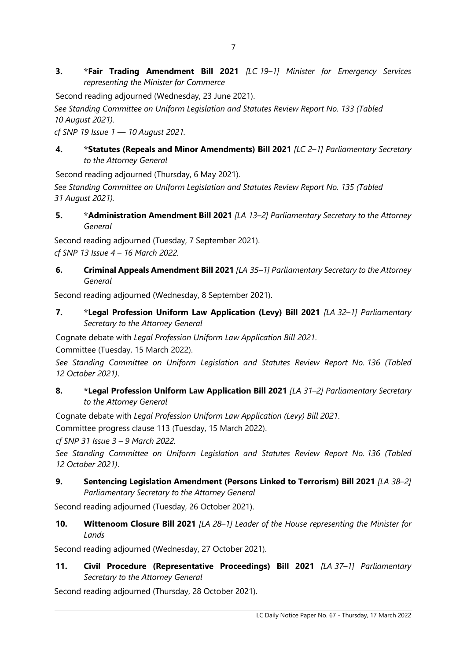3. \*Fair Trading Amendment Bill 2021 [LC 19–1] Minister for Emergency Services representing the Minister for Commerce

Second reading adjourned (Wednesday, 23 June 2021).

See Standing Committee on Uniform Legislation and Statutes Review Report No. 133 (Tabled 10 August 2021).

cf SNP 19 Issue 1 — 10 August 2021.

#### 4. \*Statutes (Repeals and Minor Amendments) Bill 2021 [LC 2-1] Parliamentary Secretary to the Attorney General

Second reading adjourned (Thursday, 6 May 2021).

See Standing Committee on Uniform Legislation and Statutes Review Report No. 135 (Tabled 31 August 2021).

5. \*Administration Amendment Bill 2021 [LA 13-2] Parliamentary Secretary to the Attorney General

Second reading adjourned (Tuesday, 7 September 2021). cf SNP 13 Issue 4 – 16 March 2022.

6. Criminal Appeals Amendment Bill 2021 [LA 35-1] Parliamentary Secretary to the Attorney General

Second reading adjourned (Wednesday, 8 September 2021).

7. \*Legal Profession Uniform Law Application (Levy) Bill 2021 [LA 32-1] Parliamentary Secretary to the Attorney General

Cognate debate with Legal Profession Uniform Law Application Bill 2021.

Committee (Tuesday, 15 March 2022).

See Standing Committee on Uniform Legislation and Statutes Review Report No. 136 (Tabled 12 October 2021).

#### 8. \*Legal Profession Uniform Law Application Bill 2021 [LA 31-2] Parliamentary Secretary to the Attorney General

Cognate debate with Legal Profession Uniform Law Application (Levy) Bill 2021.

Committee progress clause 113 (Tuesday, 15 March 2022).

cf SNP 31 Issue 3 – 9 March 2022.

See Standing Committee on Uniform Legislation and Statutes Review Report No. 136 (Tabled 12 October 2021).

9. Sentencing Legislation Amendment (Persons Linked to Terrorism) Bill 2021 [LA 38-2] Parliamentary Secretary to the Attorney General

Second reading adjourned (Tuesday, 26 October 2021).

10. Wittenoom Closure Bill 2021 [LA 28-1] Leader of the House representing the Minister for Lands

Second reading adjourned (Wednesday, 27 October 2021).

11. Civil Procedure (Representative Proceedings) Bill 2021 [LA 37-1] Parliamentary Secretary to the Attorney General

Second reading adjourned (Thursday, 28 October 2021).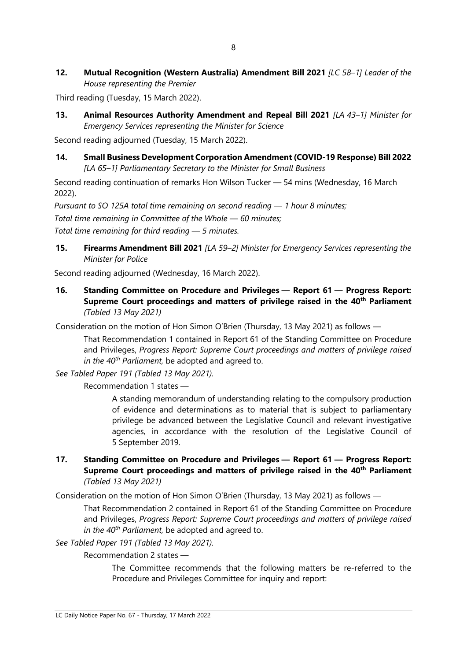12. Mutual Recognition (Western Australia) Amendment Bill 2021 [LC 58-1] Leader of the House representing the Premier

Third reading (Tuesday, 15 March 2022).

13. Animal Resources Authority Amendment and Repeal Bill 2021 [LA 43-1] Minister for Emergency Services representing the Minister for Science

Second reading adjourned (Tuesday, 15 March 2022).

#### 14. Small Business Development Corporation Amendment (COVID-19 Response) Bill 2022 [LA 65–1] Parliamentary Secretary to the Minister for Small Business

Second reading continuation of remarks Hon Wilson Tucker — 54 mins (Wednesday, 16 March 2022).

Pursuant to SO 125A total time remaining on second reading — 1 hour 8 minutes; Total time remaining in Committee of the Whole — 60 minutes; Total time remaining for third reading — 5 minutes.

15. Firearms Amendment Bill 2021 [LA 59-2] Minister for Emergency Services representing the Minister for Police

Second reading adjourned (Wednesday, 16 March 2022).

16. Standing Committee on Procedure and Privileges — Report 61 — Progress Report: Supreme Court proceedings and matters of privilege raised in the 40<sup>th</sup> Parliament (Tabled 13 May 2021)

Consideration on the motion of Hon Simon O'Brien (Thursday, 13 May 2021) as follows —

That Recommendation 1 contained in Report 61 of the Standing Committee on Procedure and Privileges, Progress Report: Supreme Court proceedings and matters of privilege raised in the  $40^{th}$  Parliament, be adopted and agreed to.

See Tabled Paper 191 (Tabled 13 May 2021).

Recommendation 1 states —

A standing memorandum of understanding relating to the compulsory production of evidence and determinations as to material that is subject to parliamentary privilege be advanced between the Legislative Council and relevant investigative agencies, in accordance with the resolution of the Legislative Council of 5 September 2019.

#### 17. Standing Committee on Procedure and Privileges — Report 61 — Progress Report: Supreme Court proceedings and matters of privilege raised in the 40<sup>th</sup> Parliament (Tabled 13 May 2021)

Consideration on the motion of Hon Simon O'Brien (Thursday, 13 May 2021) as follows —

That Recommendation 2 contained in Report 61 of the Standing Committee on Procedure and Privileges, Progress Report: Supreme Court proceedings and matters of privilege raised in the  $40^{th}$  Parliament, be adopted and agreed to.

See Tabled Paper 191 (Tabled 13 May 2021).

Recommendation 2 states —

The Committee recommends that the following matters be re-referred to the Procedure and Privileges Committee for inquiry and report: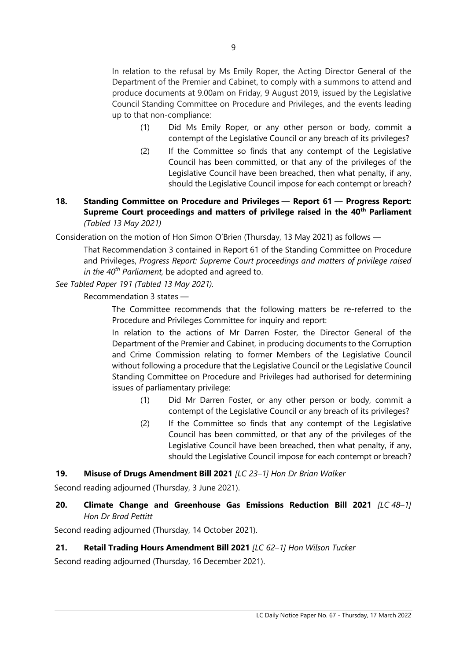In relation to the refusal by Ms Emily Roper, the Acting Director General of the Department of the Premier and Cabinet, to comply with a summons to attend and produce documents at 9.00am on Friday, 9 August 2019, issued by the Legislative Council Standing Committee on Procedure and Privileges, and the events leading up to that non-compliance:

- (1) Did Ms Emily Roper, or any other person or body, commit a contempt of the Legislative Council or any breach of its privileges?
- (2) If the Committee so finds that any contempt of the Legislative Council has been committed, or that any of the privileges of the Legislative Council have been breached, then what penalty, if any, should the Legislative Council impose for each contempt or breach?

#### 18. Standing Committee on Procedure and Privileges — Report 61 — Progress Report: Supreme Court proceedings and matters of privilege raised in the 40<sup>th</sup> Parliament (Tabled 13 May 2021)

Consideration on the motion of Hon Simon O'Brien (Thursday, 13 May 2021) as follows —

That Recommendation 3 contained in Report 61 of the Standing Committee on Procedure and Privileges, Progress Report: Supreme Court proceedings and matters of privilege raised in the  $40^{th}$  Parliament, be adopted and agreed to.

#### See Tabled Paper 191 (Tabled 13 May 2021).

Recommendation 3 states —

The Committee recommends that the following matters be re-referred to the Procedure and Privileges Committee for inquiry and report:

In relation to the actions of Mr Darren Foster, the Director General of the Department of the Premier and Cabinet, in producing documents to the Corruption and Crime Commission relating to former Members of the Legislative Council without following a procedure that the Legislative Council or the Legislative Council Standing Committee on Procedure and Privileges had authorised for determining issues of parliamentary privilege:

- (1) Did Mr Darren Foster, or any other person or body, commit a contempt of the Legislative Council or any breach of its privileges?
- (2) If the Committee so finds that any contempt of the Legislative Council has been committed, or that any of the privileges of the Legislative Council have been breached, then what penalty, if any, should the Legislative Council impose for each contempt or breach?

#### 19. Misuse of Drugs Amendment Bill 2021 [LC 23-1] Hon Dr Brian Walker

Second reading adjourned (Thursday, 3 June 2021).

#### 20. Climate Change and Greenhouse Gas Emissions Reduction Bill 2021 [LC 48-1] Hon Dr Brad Pettitt

Second reading adjourned (Thursday, 14 October 2021).

#### 21. Retail Trading Hours Amendment Bill 2021 [LC 62-1] Hon Wilson Tucker

Second reading adjourned (Thursday, 16 December 2021).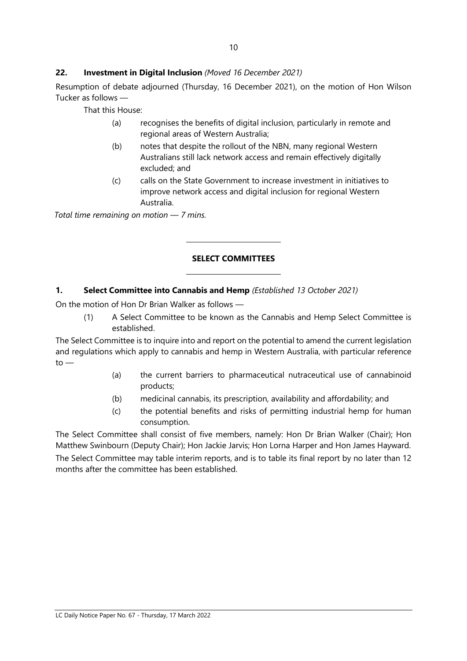#### 22. Investment in Digital Inclusion (Moved 16 December 2021)

Resumption of debate adjourned (Thursday, 16 December 2021), on the motion of Hon Wilson Tucker as follows —

That this House:

- (a) recognises the benefits of digital inclusion, particularly in remote and regional areas of Western Australia;
- (b) notes that despite the rollout of the NBN, many regional Western Australians still lack network access and remain effectively digitally excluded; and
- (c) calls on the State Government to increase investment in initiatives to improve network access and digital inclusion for regional Western Australia.

Total time remaining on motion  $-7$  mins.

#### SELECT COMMITTEES

#### 1. Select Committee into Cannabis and Hemp (Established 13 October 2021)

 $\overline{a}$ 

 $\overline{a}$ 

On the motion of Hon Dr Brian Walker as follows —

(1) A Select Committee to be known as the Cannabis and Hemp Select Committee is established.

The Select Committee is to inquire into and report on the potential to amend the current legislation and regulations which apply to cannabis and hemp in Western Australia, with particular reference  $to -$ 

- (a) the current barriers to pharmaceutical nutraceutical use of cannabinoid products;
- (b) medicinal cannabis, its prescription, availability and affordability; and
- (c) the potential benefits and risks of permitting industrial hemp for human consumption.

The Select Committee shall consist of five members, namely: Hon Dr Brian Walker (Chair); Hon Matthew Swinbourn (Deputy Chair); Hon Jackie Jarvis; Hon Lorna Harper and Hon James Hayward. The Select Committee may table interim reports, and is to table its final report by no later than 12 months after the committee has been established.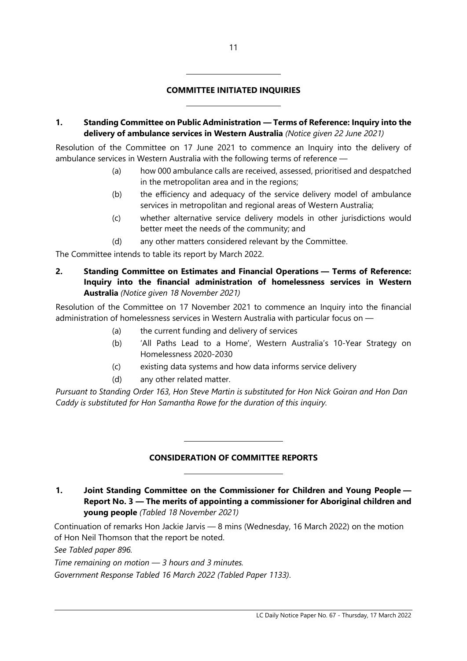#### COMMITTEE INITIATED INQUIRIES

 $\overline{a}$ 

 $\overline{a}$ 

1. Standing Committee on Public Administration — Terms of Reference: Inquiry into the delivery of ambulance services in Western Australia (Notice given 22 June 2021)

Resolution of the Committee on 17 June 2021 to commence an Inquiry into the delivery of ambulance services in Western Australia with the following terms of reference —

- (a) how 000 ambulance calls are received, assessed, prioritised and despatched in the metropolitan area and in the regions;
- (b) the efficiency and adequacy of the service delivery model of ambulance services in metropolitan and regional areas of Western Australia;
- (c) whether alternative service delivery models in other jurisdictions would better meet the needs of the community; and
- (d) any other matters considered relevant by the Committee.

The Committee intends to table its report by March 2022.

2. Standing Committee on Estimates and Financial Operations — Terms of Reference: Inquiry into the financial administration of homelessness services in Western Australia (Notice given 18 November 2021)

Resolution of the Committee on 17 November 2021 to commence an Inquiry into the financial administration of homelessness services in Western Australia with particular focus on —

- (a) the current funding and delivery of services
- (b) 'All Paths Lead to a Home', Western Australia's 10-Year Strategy on Homelessness 2020-2030
- (c) existing data systems and how data informs service delivery
- (d) any other related matter.

 $\overline{a}$ 

 $\overline{a}$ 

Pursuant to Standing Order 163, Hon Steve Martin is substituted for Hon Nick Goiran and Hon Dan Caddy is substituted for Hon Samantha Rowe for the duration of this inquiry.

#### CONSIDERATION OF COMMITTEE REPORTS

1. Joint Standing Committee on the Commissioner for Children and Young People — Report No. 3 — The merits of appointing a commissioner for Aboriginal children and young people (Tabled 18 November 2021)

Continuation of remarks Hon Jackie Jarvis — 8 mins (Wednesday, 16 March 2022) on the motion of Hon Neil Thomson that the report be noted.

See Tabled paper 896.

Time remaining on motion — 3 hours and 3 minutes.

Government Response Tabled 16 March 2022 (Tabled Paper 1133).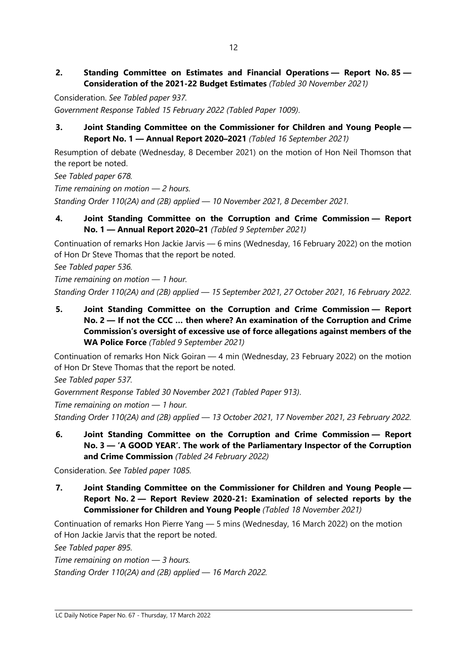2. Standing Committee on Estimates and Financial Operations — Report No. 85 — Consideration of the 2021-22 Budget Estimates (Tabled 30 November 2021)

Consideration. See Tabled paper 937. Government Response Tabled 15 February 2022 (Tabled Paper 1009).

#### 3. Joint Standing Committee on the Commissioner for Children and Young People — Report No. 1 — Annual Report 2020–2021 (Tabled 16 September 2021)

Resumption of debate (Wednesday, 8 December 2021) on the motion of Hon Neil Thomson that the report be noted.

See Tabled paper 678.

Time remaining on motion — 2 hours.

Standing Order 110(2A) and (2B) applied — 10 November 2021, 8 December 2021.

4. Joint Standing Committee on the Corruption and Crime Commission — Report No. 1 — Annual Report 2020–21 (Tabled 9 September 2021)

Continuation of remarks Hon Jackie Jarvis — 6 mins (Wednesday, 16 February 2022) on the motion of Hon Dr Steve Thomas that the report be noted.

See Tabled paper 536.

Time remaining on motion — 1 hour. Standing Order 110(2A) and (2B) applied — 15 September 2021, 27 October 2021, 16 February 2022.

5. Joint Standing Committee on the Corruption and Crime Commission — Report No. 2 — If not the CCC … then where? An examination of the Corruption and Crime Commission's oversight of excessive use of force allegations against members of the WA Police Force (Tabled 9 September 2021)

Continuation of remarks Hon Nick Goiran — 4 min (Wednesday, 23 February 2022) on the motion of Hon Dr Steve Thomas that the report be noted.

See Tabled paper 537.

Government Response Tabled 30 November 2021 (Tabled Paper 913).

Time remaining on motion — 1 hour.

Standing Order 110(2A) and (2B) applied — 13 October 2021, 17 November 2021, 23 February 2022.

6. Joint Standing Committee on the Corruption and Crime Commission — Report No. 3 — 'A GOOD YEAR'. The work of the Parliamentary Inspector of the Corruption and Crime Commission (Tabled 24 February 2022)

Consideration. See Tabled paper 1085.

7. Joint Standing Committee on the Commissioner for Children and Young People — Report No. 2 — Report Review 2020-21: Examination of selected reports by the Commissioner for Children and Young People (Tabled 18 November 2021)

Continuation of remarks Hon Pierre Yang — 5 mins (Wednesday, 16 March 2022) on the motion of Hon Jackie Jarvis that the report be noted.

See Tabled paper 895.

Time remaining on motion  $-$  3 hours. Standing Order 110(2A) and (2B) applied — 16 March 2022.